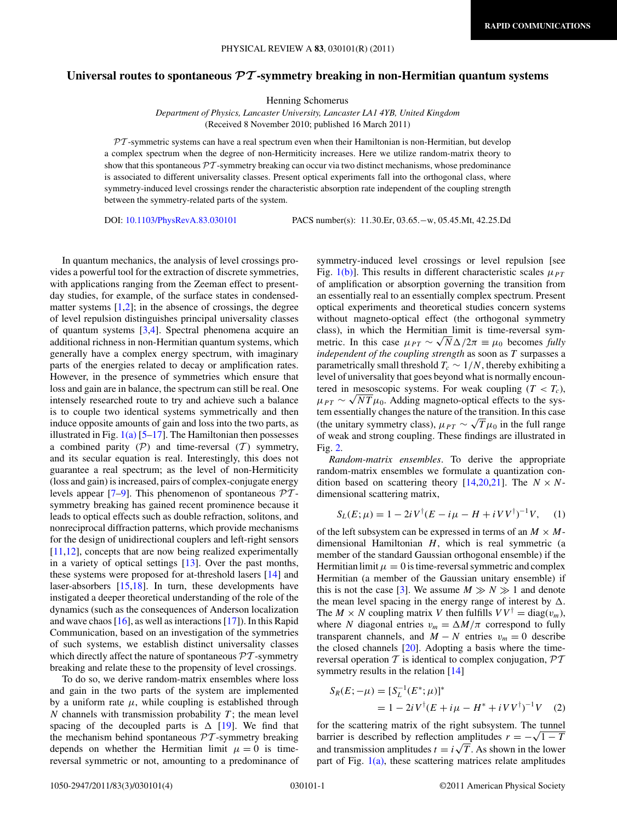## **Universal routes to spontaneous** *PT* **-symmetry breaking in non-Hermitian quantum systems**

Henning Schomerus

*Department of Physics, Lancaster University, Lancaster LA1 4YB, United Kingdom* (Received 8 November 2010; published 16 March 2011)

 $PT$ -symmetric systems can have a real spectrum even when their Hamiltonian is non-Hermitian, but develop a complex spectrum when the degree of non-Hermiticity increases. Here we utilize random-matrix theory to show that this spontaneous  $\mathcal{PT}$ -symmetry breaking can occur via two distinct mechanisms, whose predominance is associated to different universality classes. Present optical experiments fall into the orthogonal class, where symmetry-induced level crossings render the characteristic absorption rate independent of the coupling strength between the symmetry-related parts of the system.

DOI: [10.1103/PhysRevA.83.030101](http://dx.doi.org/10.1103/PhysRevA.83.030101) PACS number(s): 11*.*30*.*Er, 03*.*65*.*−w, 05*.*45*.*Mt, 42*.*25*.*Dd

In quantum mechanics, the analysis of level crossings provides a powerful tool for the extraction of discrete symmetries, with applications ranging from the Zeeman effect to presentday studies, for example, of the surface states in condensedmatter systems  $[1,2]$ ; in the absence of crossings, the degree of level repulsion distinguishes principal universality classes of quantum systems [\[3,4\]](#page-3-0). Spectral phenomena acquire an additional richness in non-Hermitian quantum systems, which generally have a complex energy spectrum, with imaginary parts of the energies related to decay or amplification rates. However, in the presence of symmetries which ensure that loss and gain are in balance, the spectrum can still be real. One intensely researched route to try and achieve such a balance is to couple two identical systems symmetrically and then induce opposite amounts of gain and loss into the two parts, as illustrated in Fig.  $1(a)$  [\[5–17\]](#page-3-0). The Hamiltonian then possesses a combined parity  $(\mathcal{P})$  and time-reversal  $(\mathcal{T})$  symmetry, and its secular equation is real. Interestingly, this does not guarantee a real spectrum; as the level of non-Hermiticity (loss and gain) is increased, pairs of complex-conjugate energy levels appear  $[7-9]$ . This phenomenon of spontaneous  $\mathcal{PT}$ symmetry breaking has gained recent prominence because it leads to optical effects such as double refraction, solitons, and nonreciprocal diffraction patterns, which provide mechanisms for the design of unidirectional couplers and left-right sensors [\[11,12\]](#page-3-0), concepts that are now being realized experimentally in a variety of optical settings [\[13\]](#page-3-0). Over the past months, these systems were proposed for at-threshold lasers [\[14\]](#page-3-0) and laser-absorbers [\[15,18\]](#page-3-0). In turn, these developments have instigated a deeper theoretical understanding of the role of the dynamics (such as the consequences of Anderson localization and wave chaos  $[16]$ , as well as interactions  $[17]$ ). In this Rapid Communication, based on an investigation of the symmetries of such systems, we establish distinct universality classes which directly affect the nature of spontaneous  $\mathcal{P}\mathcal{T}$ -symmetry breaking and relate these to the propensity of level crossings.

To do so, we derive random-matrix ensembles where loss and gain in the two parts of the system are implemented by a uniform rate  $\mu$ , while coupling is established through  *channels with transmission probability*  $*T*$ *; the mean level* spacing of the decoupled parts is  $\Delta$  [\[19\]](#page-3-0). We find that the mechanism behind spontaneous  $\mathcal{PT}$ -symmetry breaking depends on whether the Hermitian limit  $\mu = 0$  is timereversal symmetric or not, amounting to a predominance of symmetry-induced level crossings or level repulsion [see Fig. [1\(b\)\]](#page-1-0). This results in different characteristic scales  $\mu_{PT}$ of amplification or absorption governing the transition from an essentially real to an essentially complex spectrum. Present optical experiments and theoretical studies concern systems without magneto-optical effect (the orthogonal symmetry class), in which the Hermitian limit is time-reversal symmetric. In this case  $\mu_{PT} \sim \sqrt{N} \Delta / 2\pi \equiv \mu_0$  becomes *fully independent of the coupling strength* as soon as *T* surpasses a parametrically small threshold  $T_c \sim 1/N$ , thereby exhibiting a level of universality that goes beyond what is normally encountered in mesoscopic systems. For weak coupling  $(T < T_c)$ ,  $\mu_{PT} \sim \sqrt{NT\mu_0}$ . Adding magneto-optical effects to the system essentially changes the nature of the transition. In this case (the unitary symmetry class),  $\mu_{PT} \sim \sqrt{T} \mu_0$  in the full range of weak and strong coupling. These findings are illustrated in Fig. [2.](#page-1-0)

*Random-matrix ensembles*. To derive the appropriate random-matrix ensembles we formulate a quantization con-dition based on scattering theory [\[14,20,21\]](#page-3-0). The  $N \times N$ dimensional scattering matrix,

$$
S_L(E; \mu) = 1 - 2iV^{\dagger}(E - i\mu - H + iVV^{\dagger})^{-1}V, \quad (1)
$$

of the left subsystem can be expressed in terms of an  $M \times M$ dimensional Hamiltonian *H*, which is real symmetric (a member of the standard Gaussian orthogonal ensemble) if the Hermitian limit  $\mu = 0$  is time-reversal symmetric and complex Hermitian (a member of the Gaussian unitary ensemble) if this is not the case [\[3\]](#page-3-0). We assume  $M \gg N \gg 1$  and denote the mean level spacing in the energy range of interest by  $\Delta$ . The *M* × *N* coupling matrix *V* then fulfills  $VV^{\dagger} = \text{diag}(v_m)$ , where *N* diagonal entries  $v_m = \Delta M/\pi$  correspond to fully transparent channels, and  $M - N$  entries  $v_m = 0$  describe the closed channels [\[20\]](#page-3-0). Adopting a basis where the timereversal operation  $T$  is identical to complex conjugation,  $\mathcal{PT}$ symmetry results in the relation [\[14\]](#page-3-0)

$$
S_R(E; -\mu) = [S_L^{-1}(E^*; \mu)]^*
$$
  
= 1 - 2iV<sup>†</sup>(E + i\mu - H^\* + iVV<sup>†</sup>)<sup>-1</sup>V (2)

for the scattering matrix of the right subsystem. The tunnel barrier is described by reflection amplitudes  $r = -\sqrt{1 - T}$ barrier is described by reflection amplitudes  $r = -\sqrt{1 - T}$ <br>and transmission amplitudes  $t = i\sqrt{T}$ . As shown in the lower part of Fig.  $1(a)$ , these scattering matrices relate amplitudes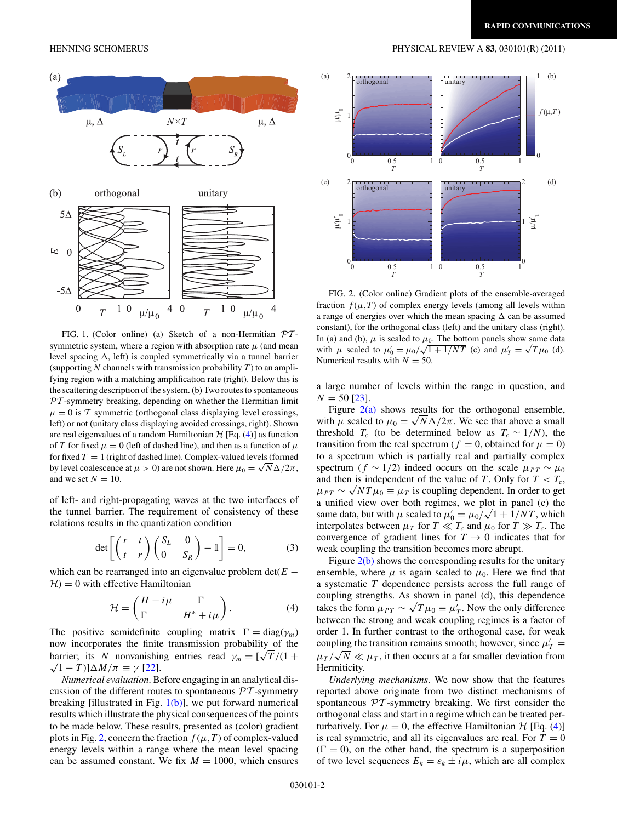

FIG. 1. (Color online) (a) Sketch of a non-Hermitian  $PT$ symmetric system, where a region with absorption rate  $\mu$  (and mean level spacing  $\Delta$ , left) is coupled symmetrically via a tunnel barrier (supporting *N* channels with transmission probability *T* ) to an amplifying region with a matching amplification rate (right). Below this is the scattering description of the system. (b) Two routes to spontaneous  $PT$ -symmetry breaking, depending on whether the Hermitian limit  $\mu = 0$  is T symmetric (orthogonal class displaying level crossings, left) or not (unitary class displaying avoided crossings, right). Shown are real eigenvalues of a random Hamiltonian  $H$  [Eq. (4)] as function of *T* for fixed  $\mu = 0$  (left of dashed line), and then as a function of  $\mu$ for fixed  $T = 1$  (right of dashed line). Complex-valued levels (formed by level coalescence at  $\mu > 0$ ) are not shown. Here  $\mu_0 = \sqrt{N\Delta/2\pi}$ , and we set  $N = 10$ .

of left- and right-propagating waves at the two interfaces of the tunnel barrier. The requirement of consistency of these relations results in the quantization condition

$$
\det \left[ \begin{pmatrix} r & t \\ t & r \end{pmatrix} \begin{pmatrix} S_L & 0 \\ 0 & S_R \end{pmatrix} - 1 \right] = 0, \tag{3}
$$

which can be rearranged into an eigenvalue problem  $det(E H = 0$  with effective Hamiltonian

$$
\mathcal{H} = \begin{pmatrix} H - i\mu & \Gamma \\ \Gamma & H^* + i\mu \end{pmatrix}.
$$
 (4)

The positive semidefinite coupling matrix  $\Gamma = \text{diag}(\gamma_m)$ now incorporates the finite transmission probability of the barrier; its *N* nonvanishing entries read  $\gamma_m = \left[\sqrt{T}/(1 + \frac{m}{\sqrt{T}})\right]$  $\sqrt{1-T}$ ) $\vert \Delta M/\pi \equiv \gamma$  [\[22\]](#page-3-0).

*Numerical evaluation*. Before engaging in an analytical discussion of the different routes to spontaneous  $\mathcal{P}\mathcal{T}$ -symmetry breaking [illustrated in Fig.  $1(b)$ ], we put forward numerical results which illustrate the physical consequences of the points to be made below. These results, presented as (color) gradient plots in Fig. 2, concern the fraction  $f(\mu, T)$  of complex-valued energy levels within a range where the mean level spacing can be assumed constant. We fix  $M = 1000$ , which ensures

<span id="page-1-0"></span>HENNING SCHOMERUS PHYSICAL REVIEW A **83**, 030101(R) (2011)



FIG. 2. (Color online) Gradient plots of the ensemble-averaged fraction  $f(\mu, T)$  of complex energy levels (among all levels within a range of energies over which the mean spacing  $\Delta$  can be assumed constant), for the orthogonal class (left) and the unitary class (right). In (a) and (b),  $\mu$  is scaled to  $\mu_0$ . The bottom panels show same data in (a) and (b),  $\mu$  is scaled to  $\mu_0$ . The bottom panels show same data<br>with  $\mu$  scaled to  $\mu'_0 = \mu_0 / \sqrt{1 + 1/NT}$  (c) and  $\mu'_T = \sqrt{T} \mu_0$  (d). Numerical results with  $N = 50$ .

a large number of levels within the range in question, and  $N = 50$  [\[23\]](#page-3-0).

Figure  $2(a)$  shows results for the orthogonal ensemble, with  $\mu$  scaled to  $\mu_0 = \sqrt{N\Delta/2\pi}$ . We see that above a small threshold  $T_c$  (to be determined below as  $T_c \sim 1/N$ ), the transition from the real spectrum ( $f = 0$ , obtained for  $\mu = 0$ ) to a spectrum which is partially real and partially complex spectrum (*f* ∼ 1/2) indeed occurs on the scale  $\mu_{PT} \sim \mu_0$ and then is independent of the value of *T*. Only for  $T < T_c$ ,  $\mu_{PT} \sim \sqrt{NT} \mu_0 \equiv \mu_T$  is coupling dependent. In order to get a unified view over both regimes, we plot in panel (c) the a unified view over both regimes, we plot in panel (c) the same data, but with  $\mu$  scaled to  $\mu'_0 = \mu_0 / \sqrt{1 + 1/NT}$ , which interpolates between  $\mu_T$  for  $T \ll T_c$  and  $\mu_0$  for  $T \gg T_c$ . The convergence of gradient lines for  $T \to 0$  indicates that for weak coupling the transition becomes more abrupt.

Figure  $2(b)$  shows the corresponding results for the unitary ensemble, where  $\mu$  is again scaled to  $\mu_0$ . Here we find that a systematic *T* dependence persists across the full range of coupling strengths. As shown in panel (d), this dependence takes the form  $\mu_{PT} \sim \sqrt{T} \mu_0 \equiv \mu'_T$ . Now the only difference between the strong and weak coupling regimes is a factor of order 1. In further contrast to the orthogonal case, for weak coupling the transition remains smooth; however, since  $\mu'_T =$ *µT /* <sup>√</sup>*<sup>N</sup> µT* , it then occurs at a far smaller deviation from Hermiticity.

*Underlying mechanisms*. We now show that the features reported above originate from two distinct mechanisms of spontaneous  $\mathcal{PT}$ -symmetry breaking. We first consider the orthogonal class and start in a regime which can be treated perturbatively. For  $\mu = 0$ , the effective Hamiltonian  $\mathcal{H}$  [Eq. (4)] is real symmetric, and all its eigenvalues are real. For  $T = 0$  $(\Gamma = 0)$ , on the other hand, the spectrum is a superposition of two level sequences  $E_k = \varepsilon_k \pm i\mu$ , which are all complex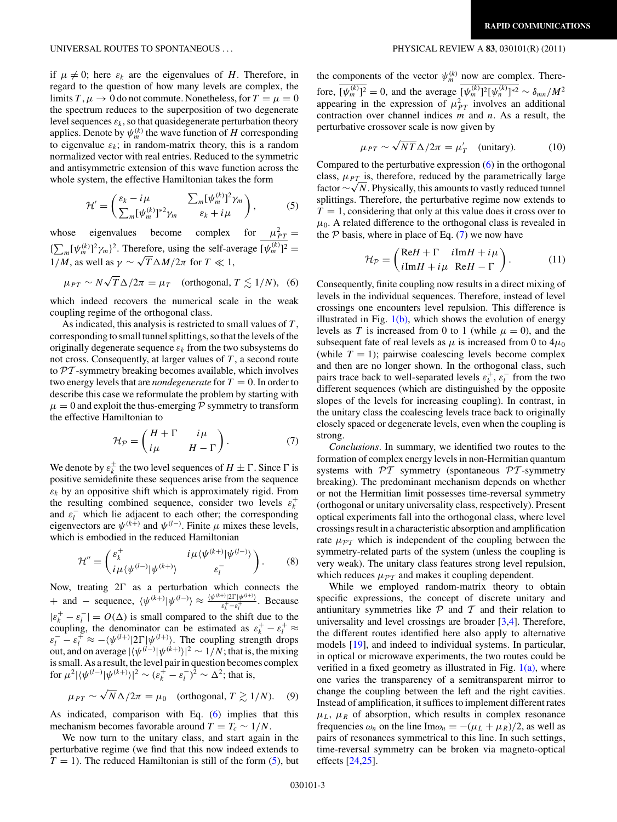if  $\mu \neq 0$ ; here  $\varepsilon_k$  are the eigenvalues of *H*. Therefore, in regard to the question of how many levels are complex, the limits  $T, \mu \to 0$  do not commute. Nonetheless, for  $T = \mu = 0$ the spectrum reduces to the superposition of two degenerate level sequences  $\varepsilon_k$ , so that quasidegenerate perturbation theory applies. Denote by  $\psi_m^{(k)}$  the wave function of *H* corresponding to eigenvalue  $\varepsilon_k$ ; in random-matrix theory, this is a random normalized vector with real entries. Reduced to the symmetric and antisymmetric extension of this wave function across the whole system, the effective Hamiltonian takes the form

$$
\mathcal{H}' = \begin{pmatrix} \varepsilon_k - i\mu & \sum_m [\psi_m^{(k)}]^2 \gamma_m \\ \sum_m [\psi_m^{(k)}]^*^2 \gamma_m & \varepsilon_k + i\mu \end{pmatrix},
$$
(5)

whose eigenvalues become complex for  $\mu_{PT}^2 =$  ${\sum_{m} [\psi_m^{(k)}]^2 \gamma_m}^2$ . Therefore, using the self-average  $[\psi_m^{(k)}]^2$  = 1/*M*, as well as  $γ \sim \sqrt{T} \Delta M / 2π$  for *T*  $\ll 1$ ,

$$
\mu_{PT} \sim N \sqrt{T} \Delta / 2\pi = \mu_T
$$
 (orthogonal,  $T \lesssim 1/N$ ), (6)

which indeed recovers the numerical scale in the weak coupling regime of the orthogonal class.

As indicated, this analysis is restricted to small values of *T* , corresponding to small tunnel splittings, so that the levels of the originally degenerate sequence  $\varepsilon_k$  from the two subsystems do not cross. Consequently, at larger values of *T* , a second route to  $PT$ -symmetry breaking becomes available, which involves two energy levels that are *nondegenerate* for  $T = 0$ . In order to describe this case we reformulate the problem by starting with  $\mu = 0$  and exploit the thus-emerging  $\mathcal P$  symmetry to transform the effective Hamiltonian to

$$
\mathcal{H}_{\mathcal{P}} = \begin{pmatrix} H + \Gamma & i\mu \\ i\mu & H - \Gamma \end{pmatrix}.
$$
 (7)

We denote by  $\varepsilon_k^\pm$  the two level sequences of  $H\pm\Gamma.$  Since  $\Gamma$  is positive semidefinite these sequences arise from the sequence  $\varepsilon_k$  by an oppositive shift which is approximately rigid. From the resulting combined sequence, consider two levels  $\varepsilon_k^+$ and  $\varepsilon_l^-$  which lie adjacent to each other; the corresponding eigenvectors are  $\psi^{(k+)}$  and  $\psi^{(l-)}$ . Finite  $\mu$  mixes these levels, which is embodied in the reduced Hamiltonian

$$
\mathcal{H}'' = \begin{pmatrix} \varepsilon_k^+ & i\mu \langle \psi^{(k+)} | \psi^{(l-)} \rangle \\ i\mu \langle \psi^{(l-)} | \psi^{(k+)} \rangle & \varepsilon_l^- \end{pmatrix} . \tag{8}
$$

Now, treating  $2\Gamma$  as a perturbation which connects the + and – sequence,  $\langle \psi^{(k+)} | \psi^{(l-)} \rangle \approx \frac{\langle \psi^{(k+)} | 2\Gamma | \psi^{(l+)} \rangle}{\varepsilon_k^+ - \varepsilon_l^+}$ . Because  $|\varepsilon_k^+ - \varepsilon_l^-| = O(\Delta)$  is small compared to the shift due to the coupling, the denominator can be estimated as  $\varepsilon_k^+ - \varepsilon_l^+ \approx$  $\varepsilon_l^-$  –  $\varepsilon_l^+ \approx -\langle \psi^{(l+)} | 2 \Gamma | \psi^{(l+)} \rangle$ . The coupling strength drops out, and on average  $|\langle \psi^{(l-)} | \psi^{(k+)} \rangle|^2 \sim 1/N$ ; that is, the mixing is small. As a result, the level pair in question becomes complex for  $\mu^2 |\langle \psi^{(l-)} | \psi^{(k+)} \rangle|^2 \sim (\varepsilon_k^{\hat{+}} - \varepsilon_l^{-})^{\hat{2}} \sim \Delta^2$ ; that is,

$$
\mu_{PT} \sim \sqrt{N} \Delta / 2\pi = \mu_0 \quad \text{(orthogonal, } T \gtrsim 1/N). \quad (9)
$$

As indicated, comparison with Eq. (6) implies that this mechanism becomes favorable around  $T = T_c \sim 1/N$ .

We now turn to the unitary class, and start again in the perturbative regime (we find that this now indeed extends to  $T = 1$ ). The reduced Hamiltonian is still of the form  $(5)$ , but

the components of the vector  $\psi_m^{(k)}$  now are complex. Therefore,  $[\psi_m^{(k)}]^2 = 0$ , and the average  $[\psi_m^{(k)}]^2 [\psi_n^{(k)}]^{*2} \sim \delta_{mn}/M^2$ appearing in the expression of  $\mu_{PT}^2$  involves an additional contraction over channel indices *m* and *n*. As a result, the perturbative crossover scale is now given by

$$
\mu_{PT} \sim \sqrt{NT} \Delta / 2\pi = \mu'_T \quad \text{(unitary)}.
$$
 (10)

Compared to the perturbative expression (6) in the orthogonal class,  $\mu_{PT}$  is, therefore, reduced by the parametrically large class, *μ*<sub>PT</sub> is, therefore, reduced by the parametrically large<br>factor ∼√N. Physically, this amounts to vastly reduced tunnel splittings. Therefore, the perturbative regime now extends to  $T = 1$ , considering that only at this value does it cross over to  $\mu_0$ . A related difference to the orthogonal class is revealed in the  $P$  basis, where in place of Eq. (7) we now have

$$
\mathcal{H}_{\mathcal{P}} = \begin{pmatrix} \text{Re}H + \Gamma & i \text{Im}H + i\mu \\ i \text{Im}H + i\mu & \text{Re}H - \Gamma \end{pmatrix}.
$$
 (11)

Consequently, finite coupling now results in a direct mixing of levels in the individual sequences. Therefore, instead of level crossings one encounters level repulsion. This difference is illustrated in Fig.  $1(b)$ , which shows the evolution of energy levels as *T* is increased from 0 to 1 (while  $\mu = 0$ ), and the subsequent fate of real levels as  $\mu$  is increased from 0 to  $4\mu_0$ (while  $T = 1$ ); pairwise coalescing levels become complex and then are no longer shown. In the orthogonal class, such pairs trace back to well-separated levels  $\varepsilon_k^+$ ,  $\varepsilon_l^-$  from the two different sequences (which are distinguished by the opposite slopes of the levels for increasing coupling). In contrast, in the unitary class the coalescing levels trace back to originally closely spaced or degenerate levels, even when the coupling is strong.

*Conclusions*. In summary, we identified two routes to the formation of complex energy levels in non-Hermitian quantum systems with  $\mathcal{PT}$  symmetry (spontaneous  $\mathcal{PT}$ -symmetry breaking). The predominant mechanism depends on whether or not the Hermitian limit possesses time-reversal symmetry (orthogonal or unitary universality class, respectively). Present optical experiments fall into the orthogonal class, where level crossings result in a characteristic absorption and amplification rate  $\mu_{\mathcal{PT}}$  which is independent of the coupling between the symmetry-related parts of the system (unless the coupling is very weak). The unitary class features strong level repulsion, which reduces  $\mu_{\mathcal{PT}}$  and makes it coupling dependent.

While we employed random-matrix theory to obtain specific expressions, the concept of discrete unitary and antiunitary symmetries like  $P$  and  $T$  and their relation to universality and level crossings are broader [\[3,4\]](#page-3-0). Therefore, the different routes identified here also apply to alternative models [\[19\]](#page-3-0), and indeed to individual systems. In particular, in optical or microwave experiments, the two routes could be verified in a fixed geometry as illustrated in Fig.  $1(a)$ , where one varies the transparency of a semitransparent mirror to change the coupling between the left and the right cavities. Instead of amplification, it suffices to implement different rates  $\mu_L$ ,  $\mu_R$  of absorption, which results in complex resonance frequencies  $\omega_n$  on the line Im $\omega_n = -(\mu_L + \mu_R)/2$ , as well as pairs of resonances symmetrical to this line. In such settings, time-reversal symmetry can be broken via magneto-optical effects [\[24,25\]](#page-3-0).